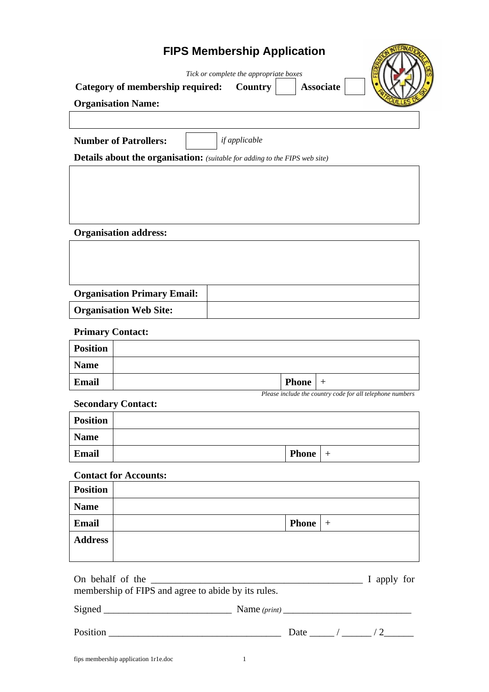# **FIPS Membership Application**

*Tick or complete the appropriate boxes* 

| Category of membership required: | Country |
|----------------------------------|---------|
|----------------------------------|---------|

**Category of membership required: Country Associate**



**Organisation Name:** 

| <b>Number of Patrollers:</b>                                                      |  | if applicable |  |
|-----------------------------------------------------------------------------------|--|---------------|--|
| <b>Details about the organisation:</b> (suitable for adding to the FIPS web site) |  |               |  |
|                                                                                   |  |               |  |

**Organisation address:** 

| <b>Organisation Primary Email:</b> |  |
|------------------------------------|--|
| <b>Organisation Web Site:</b>      |  |

## **Primary Contact:**

| <b>Position</b>                                           |  |              |  |
|-----------------------------------------------------------|--|--------------|--|
| <b>Name</b>                                               |  |              |  |
| Email                                                     |  | <b>Phone</b> |  |
| Please include the country code for all telephone numbers |  |              |  |

## **Secondary Contact:**

| <b>Position</b> |              |  |
|-----------------|--------------|--|
| <b>Name</b>     |              |  |
| Email           | <b>Phone</b> |  |

#### **Contact for Accounts:**

| <b>Position</b> |                    |  |
|-----------------|--------------------|--|
| <b>Name</b>     |                    |  |
| Email           | <b>Phone</b> $  +$ |  |
| <b>Address</b>  |                    |  |
|                 |                    |  |

| On behalf of the<br><u> 2000 - 2000 - 2000 - 2000 - 2000 - 2000 - 2000 - 2000 - 2000 - 2000 - 2000 - 2000 - 2000 - 2000 - 2000 - 200</u><br>membership of FIPS and agree to abide by its rules. | I apply for    |                 |
|-------------------------------------------------------------------------------------------------------------------------------------------------------------------------------------------------|----------------|-----------------|
|                                                                                                                                                                                                 | Name $(print)$ |                 |
| Position                                                                                                                                                                                        |                | Date $\sqrt{2}$ |